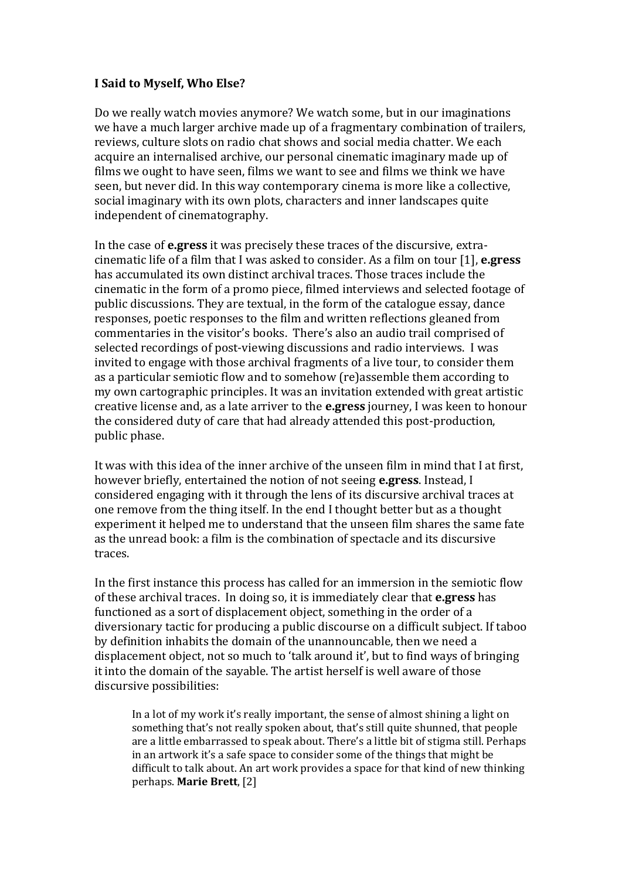## **I** Said to Myself, Who Else?

Do we really watch movies anymore? We watch some, but in our imaginations we have a much larger archive made up of a fragmentary combination of trailers, reviews, culture slots on radio chat shows and social media chatter. We each acquire an internalised archive, our personal cinematic imaginary made up of films we ought to have seen, films we want to see and films we think we have seen, but never did. In this way contemporary cinema is more like a collective, social imaginary with its own plots, characters and inner landscapes quite independent of cinematography.

In the case of **e.gress** it was precisely these traces of the discursive, extracinematic life of a film that I was asked to consider. As a film on tour [1], **e.gress** has accumulated its own distinct archival traces. Those traces include the cinematic in the form of a promo piece, filmed interviews and selected footage of public discussions. They are textual, in the form of the catalogue essay, dance responses, poetic responses to the film and written reflections gleaned from commentaries in the visitor's books. There's also an audio trail comprised of selected recordings of post-viewing discussions and radio interviews. I was invited to engage with those archival fragments of a live tour, to consider them as a particular semiotic flow and to somehow (re)assemble them according to my own cartographic principles. It was an invitation extended with great artistic creative license and, as a late arriver to the **e.gress** journey. I was keen to honour the considered duty of care that had already attended this post-production, public phase.

It was with this idea of the inner archive of the unseen film in mind that I at first, however briefly, entertained the notion of not seeing **e.gress**. Instead, I considered engaging with it through the lens of its discursive archival traces at one remove from the thing itself. In the end I thought better but as a thought experiment it helped me to understand that the unseen film shares the same fate as the unread book: a film is the combination of spectacle and its discursive traces.

In the first instance this process has called for an immersion in the semiotic flow of these archival traces. In doing so, it is immediately clear that **e.gress** has functioned as a sort of displacement object, something in the order of a diversionary tactic for producing a public discourse on a difficult subject. If taboo by definition inhabits the domain of the unannouncable, then we need a displacement object, not so much to 'talk around it', but to find ways of bringing it into the domain of the sayable. The artist herself is well aware of those discursive possibilities:

In a lot of my work it's really important, the sense of almost shining a light on something that's not really spoken about, that's still quite shunned, that people are a little embarrassed to speak about. There's a little bit of stigma still. Perhaps in an artwork it's a safe space to consider some of the things that might be difficult to talk about. An art work provides a space for that kind of new thinking perhaps. Marie Brett, [2]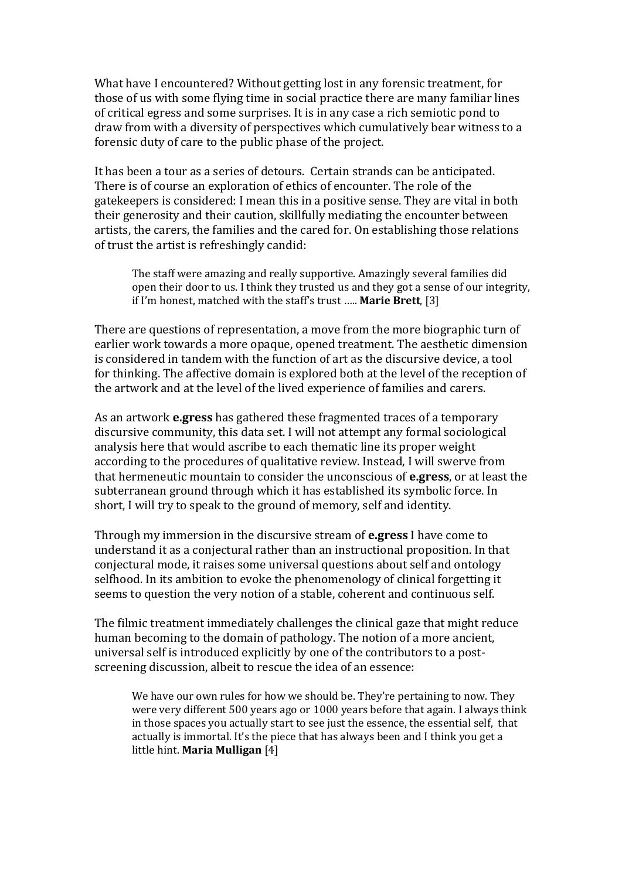What have I encountered? Without getting lost in any forensic treatment, for those of us with some flying time in social practice there are many familiar lines of critical egress and some surprises. It is in any case a rich semiotic pond to draw from with a diversity of perspectives which cumulatively bear witness to a forensic duty of care to the public phase of the project.

It has been a tour as a series of detours. Certain strands can be anticipated. There is of course an exploration of ethics of encounter. The role of the gatekeepers is considered: I mean this in a positive sense. They are vital in both their generosity and their caution, skillfully mediating the encounter between artists, the carers, the families and the cared for. On establishing those relations of trust the artist is refreshingly candid:

The staff were amazing and really supportive. Amazingly several families did open their door to us. I think they trusted us and they got a sense of our integrity, if I'm honest, matched with the staff's trust ..... Marie Brett, [3]

There are questions of representation, a move from the more biographic turn of earlier work towards a more opaque, opened treatment. The aesthetic dimension is considered in tandem with the function of art as the discursive device, a tool for thinking. The affective domain is explored both at the level of the reception of the artwork and at the level of the lived experience of families and carers.

As an artwork **e.gress** has gathered these fragmented traces of a temporary discursive community, this data set. I will not attempt any formal sociological analysis here that would ascribe to each thematic line its proper weight according to the procedures of qualitative review. Instead, I will swerve from that hermeneutic mountain to consider the unconscious of **e.gress**, or at least the subterranean ground through which it has established its symbolic force. In short, I will try to speak to the ground of memory, self and identity.

Through my immersion in the discursive stream of **e.gress** I have come to understand it as a conjectural rather than an instructional proposition. In that conjectural mode, it raises some universal questions about self and ontology selfhood. In its ambition to evoke the phenomenology of clinical forgetting it seems to question the very notion of a stable, coherent and continuous self.

The filmic treatment immediately challenges the clinical gaze that might reduce human becoming to the domain of pathology. The notion of a more ancient, universal self is introduced explicitly by one of the contributors to a postscreening discussion, albeit to rescue the idea of an essence:

We have our own rules for how we should be. They're pertaining to now. They were very different 500 years ago or 1000 years before that again. I always think in those spaces you actually start to see just the essence, the essential self, that actually is immortal. It's the piece that has always been and I think you get a little hint. **Maria Mulligan** [4]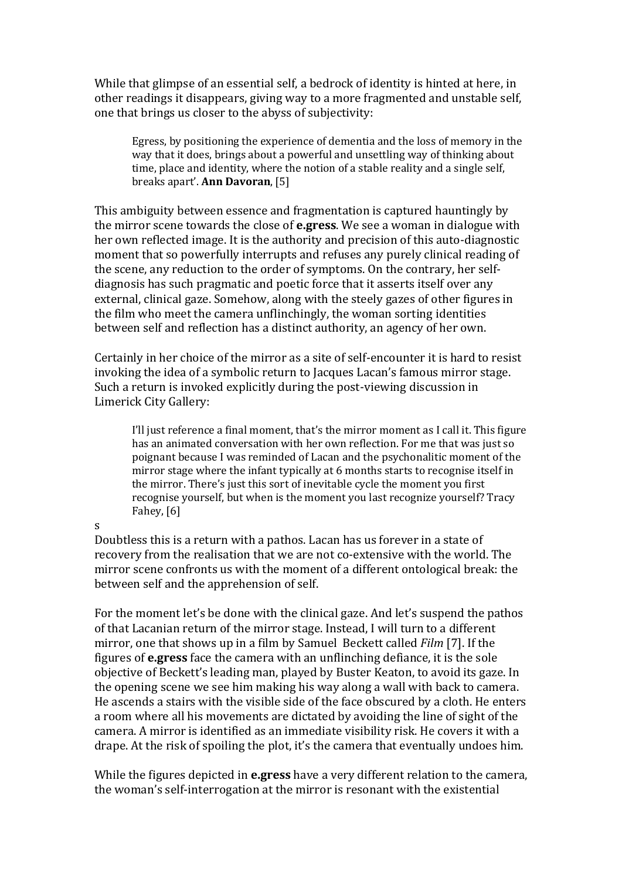While that glimpse of an essential self, a bedrock of identity is hinted at here, in other readings it disappears, giving way to a more fragmented and unstable self. one that brings us closer to the abyss of subjectivity:

Egress, by positioning the experience of dementia and the loss of memory in the way that it does, brings about a powerful and unsettling way of thinking about time, place and identity, where the notion of a stable reality and a single self, breaks apart'. **Ann Davoran**, [5]

This ambiguity between essence and fragmentation is captured hauntingly by the mirror scene towards the close of **e.gress**. We see a woman in dialogue with her own reflected image. It is the authority and precision of this auto-diagnostic moment that so powerfully interrupts and refuses any purely clinical reading of the scene, any reduction to the order of symptoms. On the contrary, her selfdiagnosis has such pragmatic and poetic force that it asserts itself over any external, clinical gaze. Somehow, along with the steely gazes of other figures in the film who meet the camera unflinchingly, the woman sorting identities between self and reflection has a distinct authority, an agency of her own.

Certainly in her choice of the mirror as a site of self-encounter it is hard to resist invoking the idea of a symbolic return to Jacques Lacan's famous mirror stage. Such a return is invoked explicitly during the post-viewing discussion in Limerick City Gallery:

I'll just reference a final moment, that's the mirror moment as I call it. This figure has an animated conversation with her own reflection. For me that was just so poignant because I was reminded of Lacan and the psychonalitic moment of the mirror stage where the infant typically at 6 months starts to recognise itself in the mirror. There's just this sort of inevitable cycle the moment you first recognise yourself, but when is the moment you last recognize yourself? Tracy Fahey,  $[6]$ 

## s

Doubtless this is a return with a pathos. Lacan has us forever in a state of recovery from the realisation that we are not co-extensive with the world. The mirror scene confronts us with the moment of a different ontological break: the between self and the apprehension of self.

For the moment let's be done with the clinical gaze. And let's suspend the pathos of that Lacanian return of the mirror stage. Instead, I will turn to a different mirror, one that shows up in a film by Samuel Beckett called *Film* [7]. If the figures of **e.gress** face the camera with an unflinching defiance, it is the sole objective of Beckett's leading man, played by Buster Keaton, to avoid its gaze. In the opening scene we see him making his way along a wall with back to camera. He ascends a stairs with the visible side of the face obscured by a cloth. He enters a room where all his movements are dictated by avoiding the line of sight of the camera. A mirror is identified as an immediate visibility risk. He covers it with a drape. At the risk of spoiling the plot, it's the camera that eventually undoes him.

While the figures depicted in **e.gress** have a very different relation to the camera, the woman's self-interrogation at the mirror is resonant with the existential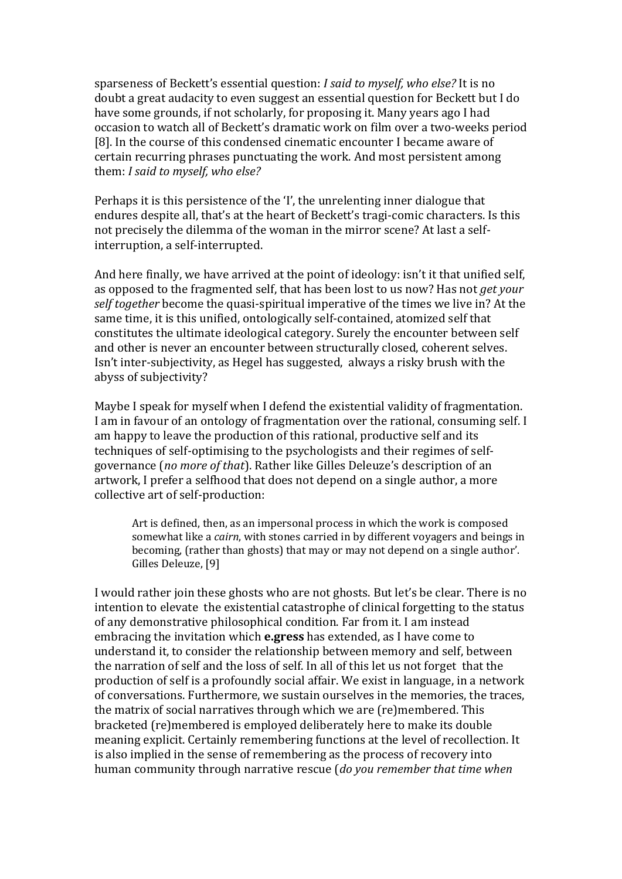sparseness of Beckett's essential question: *I said to myself, who else?* It is no doubt a great audacity to even suggest an essential question for Beckett but I do have some grounds, if not scholarly, for proposing it. Many years ago I had occasion to watch all of Beckett's dramatic work on film over a two-weeks period [8]. In the course of this condensed cinematic encounter I became aware of certain recurring phrases punctuating the work. And most persistent among them: *I said to myself, who else?* 

Perhaps it is this persistence of the 'I', the unrelenting inner dialogue that endures despite all, that's at the heart of Beckett's tragi-comic characters. Is this not precisely the dilemma of the woman in the mirror scene? At last a selfinterruption, a self-interrupted.

And here finally, we have arrived at the point of ideology: isn't it that unified self, as opposed to the fragmented self, that has been lost to us now? Has not *get your self together* become the quasi-spiritual imperative of the times we live in? At the same time, it is this unified, ontologically self-contained, atomized self that constitutes the ultimate ideological category. Surely the encounter between self and other is never an encounter between structurally closed, coherent selves. Isn't inter-subjectivity, as Hegel has suggested, always a risky brush with the abyss of subjectivity?

Maybe I speak for myself when I defend the existential validity of fragmentation. I am in favour of an ontology of fragmentation over the rational, consuming self. I am happy to leave the production of this rational, productive self and its techniques of self-optimising to the psychologists and their regimes of selfgovernance (*no more of that*). Rather like Gilles Deleuze's description of an artwork, I prefer a selfhood that does not depend on a single author, a more collective art of self-production:

Art is defined, then, as an impersonal process in which the work is composed somewhat like a *cairn*, with stones carried in by different voyagers and beings in becoming, (rather than ghosts) that may or may not depend on a single author'. Gilles Deleuze, [9]

I would rather join these ghosts who are not ghosts. But let's be clear. There is no intention to elevate the existential catastrophe of clinical forgetting to the status of any demonstrative philosophical condition. Far from it. I am instead embracing the invitation which **e.gress** has extended, as I have come to understand it, to consider the relationship between memory and self, between the narration of self and the loss of self. In all of this let us not forget that the production of self is a profoundly social affair. We exist in language, in a network of conversations. Furthermore, we sustain ourselves in the memories, the traces, the matrix of social narratives through which we are (re)membered. This bracketed (re)membered is employed deliberately here to make its double meaning explicit. Certainly remembering functions at the level of recollection. It is also implied in the sense of remembering as the process of recovery into human community through narrative rescue (*do you remember that time when*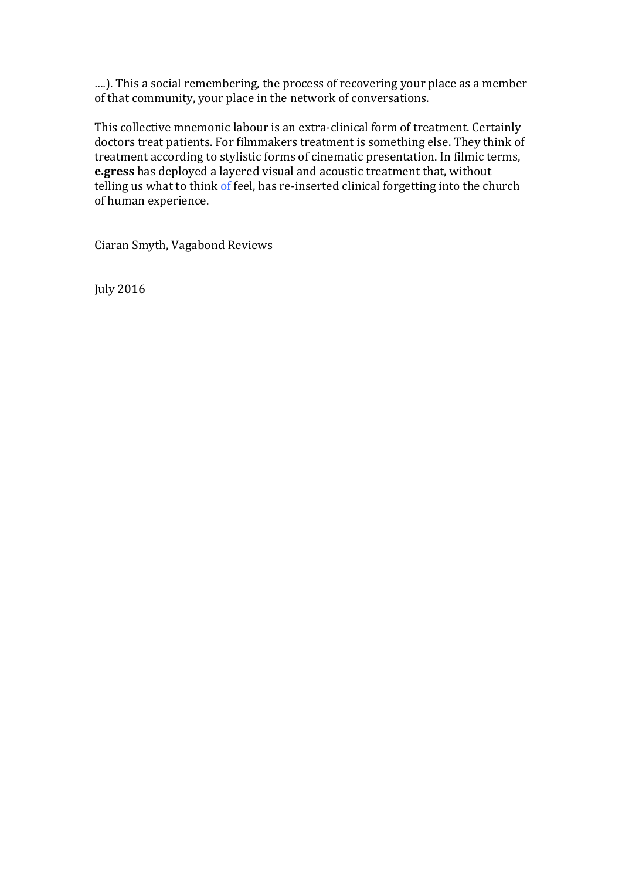*....*). This a social remembering, the process of recovering your place as a member of that community, your place in the network of conversations.

This collective mnemonic labour is an extra-clinical form of treatment. Certainly doctors treat patients. For filmmakers treatment is something else. They think of treatment according to stylistic forms of cinematic presentation. In filmic terms, **e.gress** has deployed a layered visual and acoustic treatment that, without telling us what to think of feel, has re-inserted clinical forgetting into the church of human experience.

Ciaran Smyth, Vagabond Reviews

July 2016